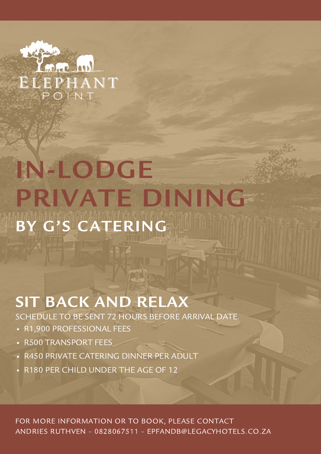

# IN-LODGE PRIVATE DINING BY G'S CATERING

### SIT BACK AND RELAX

SCHEDULE TO BE SENT 72 HOURS BEFORE ARRIVAL DATE.

- R1,900 PROFESSIONAL FEES
- R500 TRANSPORT FEES
- R450 PRIVATE CATERING DINNER PER ADULT
- R180 PER CHILD UNDER THE AGE OF 12

FOR MORE INFORMATION OR TO BOOK, PLEASE CONTACT ANDRIES RUTHVEN – 0828067511 – EPFANDB@LEGACYHOTELS.CO.ZA